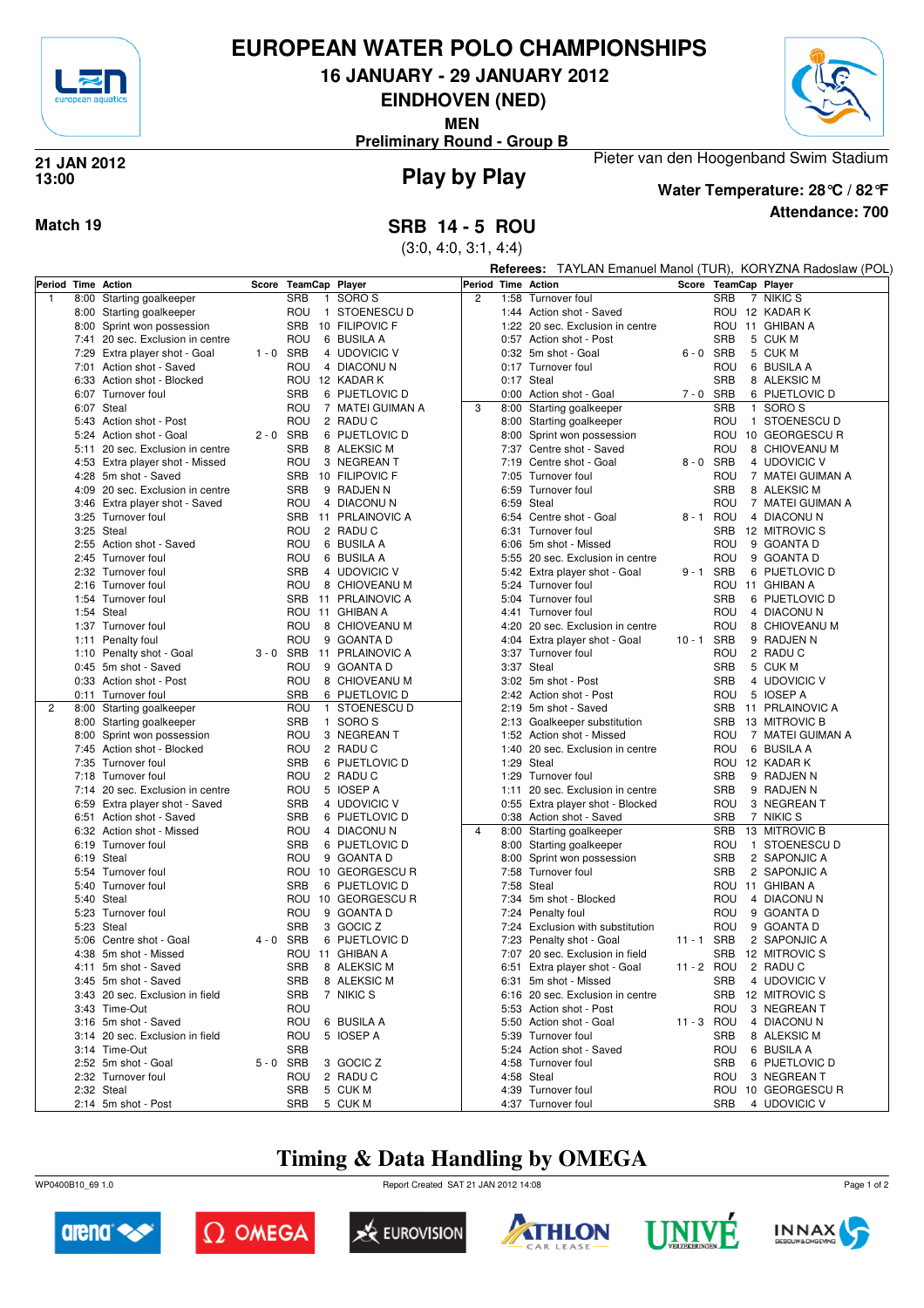

# **EUROPEAN WATER POLO CHAMPIONSHIPS**

**16 JANUARY - 29 JANUARY 2012**

**EINDHOVEN (NED)**

**MEN**

Pieter van den Hoogenband Swim Stadium **Preliminary Round - Group B**



### **Play by Play 21 JAN 2012 13:00**



**Attendance: 700 Water Temperature: 28°C / 82°F**

**Match 19 SRB 14 - 5 ROU**

(3:0, 4:0, 3:1, 4:4)

**Referees:** TAYLAN Emanuel Manol (TUR), KORYZNA Radoslaw (POL)

| Period Time Action |            |                                  |             | Score TeamCap Player |                                  | Period Time Action |      |                                  |             | Score TeamCap Player |                   |
|--------------------|------------|----------------------------------|-------------|----------------------|----------------------------------|--------------------|------|----------------------------------|-------------|----------------------|-------------------|
| $\mathbf{1}$       | 8:00       | Starting goalkeeper              |             | <b>SRB</b>           | 1 SORO S                         | $\overline{c}$     |      | 1:58 Turnover foul               |             | <b>SRB</b>           | 7 NIKIC S         |
|                    |            | 8:00 Starting goalkeeper         |             | ROU                  | 1 STOENESCU D                    |                    |      | 1:44 Action shot - Saved         |             |                      | ROU 12 KADAR K    |
|                    | 8:00       | Sprint won possession            |             | SRB                  | 10 FILIPOVIC F                   |                    |      | 1:22 20 sec. Exclusion in centre |             | ROU                  | 11 GHIBAN A       |
|                    | 7:41       | 20 sec. Exclusion in centre      |             | ROU                  | 6 BUSILA A                       |                    |      | 0:57 Action shot - Post          |             | <b>SRB</b>           | 5 CUK M           |
|                    |            | 7:29 Extra player shot - Goal    | $1 - 0$     | SRB                  | 4 UDOVICIC V                     |                    |      | 0:32 5m shot - Goal              | $6 - 0$ SRB |                      | 5 CUK M           |
|                    |            | 7:01 Action shot - Saved         |             | ROU                  | 4 DIACONUN                       |                    |      | 0:17 Turnover foul               |             | ROU                  | 6 BUSILA A        |
|                    |            | 6:33 Action shot - Blocked       |             |                      | ROU 12 KADAR K                   |                    |      | 0:17 Steal                       |             | <b>SRB</b>           | 8 ALEKSIC M       |
|                    |            | 6:07 Turnover foul               |             | <b>SRB</b>           | 6 PIJETLOVIC D                   |                    |      | 0:00 Action shot - Goal          | 7-0 SRB     |                      | 6 PIJETLOVIC D    |
|                    |            | 6:07 Steal                       |             | ROU                  | 7 MATEI GUIMAN A                 | 3                  |      | 8:00 Starting goalkeeper         |             | <b>SRB</b>           | 1 SORO S          |
|                    |            | 5:43 Action shot - Post          |             | ROU                  | 2 RADUC                          |                    |      | 8:00 Starting goalkeeper         |             | ROU                  | 1 STOENESCU D     |
|                    |            | 5:24 Action shot - Goal          | $2 - 0$     | SRB                  | 6 PIJETLOVIC D                   |                    | 8:00 | Sprint won possession            |             | ROU                  | 10 GEORGESCU R    |
|                    |            | 5:11 20 sec. Exclusion in centre |             | <b>SRB</b>           | 8 ALEKSIC M                      |                    | 7:37 | Centre shot - Saved              |             | ROU                  | 8 CHIOVEANU M     |
|                    |            | 4:53 Extra player shot - Missed  |             | ROU                  | 3 NEGREAN T                      |                    |      | 7:19 Centre shot - Goal          | 8-0 SRB     |                      | 4 UDOVICIC V      |
|                    |            | 4:28 5m shot - Saved             |             | SRB                  | 10 FILIPOVIC F                   |                    |      | 7:05 Turnover foul               |             | ROU                  | 7 MATEI GUIMAN A  |
|                    |            | 4:09 20 sec. Exclusion in centre |             | <b>SRB</b>           | 9 RADJEN N                       |                    |      | 6:59 Turnover foul               |             | <b>SRB</b>           | 8 ALEKSIC M       |
|                    |            | 3:46 Extra player shot - Saved   |             | ROU                  | 4 DIACONUN                       |                    |      | 6:59 Steal                       |             | ROU                  | 7 MATEI GUIMAN A  |
|                    |            | 3:25 Turnover foul               |             |                      | SRB 11 PRLAINOVIC A              |                    |      | 6:54 Centre shot - Goal          | 8-1 ROU     |                      | 4 DIACONUN        |
|                    |            | 3:25 Steal                       |             | ROU                  | 2 RADU C                         |                    | 6:31 | Turnover foul                    |             | SRB                  | 12 MITROVIC S     |
|                    |            | 2:55 Action shot - Saved         |             | ROU                  | 6 BUSILA A                       |                    |      | 6:06 5m shot - Missed            |             | ROU                  | 9 GOANTA D        |
|                    |            | 2:45 Turnover foul               |             | ROU                  | 6 BUSILA A                       |                    | 5:55 | 20 sec. Exclusion in centre      |             | ROU                  | 9 GOANTA D        |
|                    |            | 2:32 Turnover foul               |             | <b>SRB</b>           | 4 UDOVICIC V                     |                    |      | 5:42 Extra player shot - Goal    | 9-1 SRB     |                      | 6 PIJETLOVIC D    |
|                    |            | 2:16 Turnover foul               |             | ROU                  | 8 CHIOVEANU M                    |                    |      | 5:24 Turnover foul               |             | ROU                  | 11 GHIBAN A       |
|                    |            | 1:54 Turnover foul               |             |                      | SRB 11 PRLAINOVIC A              |                    |      | 5:04 Turnover foul               |             | <b>SRB</b>           | 6 PIJETLOVIC D    |
|                    |            |                                  |             |                      |                                  |                    |      | 4:41 Turnover foul               |             |                      | 4 DIACONUN        |
|                    | 1:54 Steal |                                  |             |                      | ROU 11 GHIBAN A<br>8 CHIOVEANU M |                    |      |                                  |             | ROU                  |                   |
|                    |            | 1:37 Turnover foul               |             | ROU                  |                                  |                    |      | 4:20 20 sec. Exclusion in centre |             | ROU                  | 8 CHIOVEANU M     |
|                    |            | 1:11 Penalty foul                |             | ROU                  | 9 GOANTA D                       |                    |      | 4:04 Extra player shot - Goal    | $10 - 1$    | SRB                  | 9 RADJEN N        |
|                    |            | 1:10 Penalty shot - Goal         | $3 - 0$     | SRB                  | 11 PRLAINOVIC A                  |                    |      | 3:37 Turnover foul               |             | ROU                  | 2 RADU C          |
|                    |            | 0:45 5m shot - Saved             |             | ROU                  | 9 GOANTA D                       |                    |      | 3:37 Steal                       |             | <b>SRB</b>           | 5 CUK M           |
|                    |            | 0:33 Action shot - Post          |             | ROU                  | 8 CHIOVEANU M                    |                    |      | 3:02 5m shot - Post              |             | <b>SRB</b>           | 4 UDOVICIC V      |
|                    |            | 0:11 Turnover foul               |             | <b>SRB</b>           | 6 PIJETLOVIC D                   |                    |      | 2:42 Action shot - Post          |             | ROU                  | 5 IOSEP A         |
| $\overline{2}$     | 8:00       | Starting goalkeeper              |             | ROU                  | 1 STOENESCU D                    |                    |      | 2:19 5m shot - Saved             |             | <b>SRB</b>           | 11 PRLAINOVIC A   |
|                    |            | 8:00 Starting goalkeeper         |             | SRB                  | 1 SORO S                         |                    |      | 2:13 Goalkeeper substitution     |             | <b>SRB</b>           | 13 MITROVIC B     |
|                    | 8:00       | Sprint won possession            |             | ROU                  | 3 NEGREAN T                      |                    | 1:52 | Action shot - Missed             |             | ROU                  | 7 MATEI GUIMAN A  |
|                    |            | 7:45 Action shot - Blocked       |             | ROU                  | 2 RADU C                         |                    | 1:40 | 20 sec. Exclusion in centre      |             | <b>ROU</b>           | 6 BUSILA A        |
|                    | 7:35       | Turnover foul                    |             | <b>SRB</b>           | 6 PIJETLOVIC D                   |                    | 1:29 | Steal                            |             |                      | ROU 12 KADAR K    |
|                    |            | 7:18 Turnover foul               |             | ROU                  | 2 RADUC                          |                    |      | 1:29 Turnover foul               |             | <b>SRB</b>           | 9 RADJEN N        |
|                    |            | 7:14 20 sec. Exclusion in centre |             | ROU                  | 5 IOSEP A                        |                    | 1:11 | 20 sec. Exclusion in centre      |             | <b>SRB</b>           | 9 RADJEN N        |
|                    |            | 6:59 Extra player shot - Saved   |             | <b>SRB</b>           | 4 UDOVICIC V                     |                    |      | 0:55 Extra player shot - Blocked |             | ROU                  | 3 NEGREAN T       |
|                    |            | 6:51 Action shot - Saved         |             | <b>SRB</b>           | 6 PIJETLOVIC D                   |                    |      | 0:38 Action shot - Saved         |             | SRB                  | 7 NIKIC S         |
|                    |            | 6:32 Action shot - Missed        |             | ROU                  | 4 DIACONUN                       | $\overline{4}$     | 8:00 | Starting goalkeeper              |             | <b>SRB</b>           | 13 MITROVIC B     |
|                    |            | 6:19 Turnover foul               |             | <b>SRB</b>           | 6 PIJETLOVIC D                   |                    |      | 8:00 Starting goalkeeper         |             | ROU                  | 1 STOENESCU D     |
|                    | 6:19 Steal |                                  |             | ROU                  | 9 GOANTA D                       |                    | 8:00 | Sprint won possession            |             | <b>SRB</b>           | 2 SAPONJIC A      |
|                    |            | 5:54 Turnover foul               |             |                      | ROU 10 GEORGESCUR                |                    |      | 7:58 Turnover foul               |             | <b>SRB</b>           | 2 SAPONJIC A      |
|                    |            | 5:40 Turnover foul               |             | <b>SRB</b>           | 6 PIJETLOVIC D                   |                    |      | 7:58 Steal                       |             | ROU                  | 11 GHIBAN A       |
|                    | 5:40 Steal |                                  |             |                      | ROU 10 GEORGESCUR                |                    |      | 7:34 5m shot - Blocked           |             | ROU                  | 4 DIACONUN        |
|                    |            | 5:23 Turnover foul               |             | ROU                  | 9 GOANTA D                       |                    |      | 7:24 Penalty foul                |             | ROU                  | 9 GOANTA D        |
|                    | 5:23 Steal |                                  |             | <b>SRB</b>           | 3 GOCIC Z                        |                    |      | 7:24 Exclusion with substitution |             | ROU                  | 9 GOANTA D        |
|                    |            | 5:06 Centre shot - Goal          | $4 - 0$     | SRB                  | 6 PIJETLOVIC D                   |                    | 7:23 | Penalty shot - Goal              | 11 - 1 SRB  |                      | 2 SAPONJIC A      |
|                    |            | 4:38 5m shot - Missed            |             | ROU                  | 11 GHIBAN A                      |                    |      | 7:07 20 sec. Exclusion in field  |             | <b>SRB</b>           | 12 MITROVIC S     |
|                    |            | 4:11 5m shot - Saved             |             | SRB                  | 8 ALEKSIC M                      |                    |      | 6:51 Extra player shot - Goal    | 11 - 2 ROU  |                      | 2 RADU C          |
|                    |            | 3:45 5m shot - Saved             |             | SRB                  | 8 ALEKSIC M                      |                    |      | 6:31 5m shot - Missed            |             | SRB                  | 4 UDOVICIC V      |
|                    |            | 3:43 20 sec. Exclusion in field  |             | SRB                  | 7 NIKIC S                        |                    |      | 6:16 20 sec. Exclusion in centre |             |                      | SRB 12 MITROVIC S |
|                    |            | 3:43 Time-Out                    |             | ROU                  |                                  |                    |      | 5:53 Action shot - Post          |             | ROU                  | 3 NEGREAN T       |
|                    |            | 3:16 5m shot - Saved             |             | ROU                  | 6 BUSILA A                       |                    |      | 5:50 Action shot - Goal          | 11 - 3 ROU  |                      | 4 DIACONUN        |
|                    |            | 3:14 20 sec. Exclusion in field  |             | ROU                  | 5 IOSEP A                        |                    |      | 5:39 Turnover foul               |             | <b>SRB</b>           | 8 ALEKSIC M       |
|                    |            | 3:14 Time-Out                    |             | <b>SRB</b>           |                                  |                    |      | 5:24 Action shot - Saved         |             | ROU                  | 6 BUSILA A        |
|                    |            | 2:52 5m shot - Goal              | $5 - 0$ SRB |                      | 3 GOCIC Z                        |                    |      | 4:58 Turnover foul               |             | <b>SRB</b>           | 6 PIJETLOVIC D    |
|                    |            | 2:32 Turnover foul               |             | ROU                  | 2 RADU C                         |                    |      | 4:58 Steal                       |             | ROU                  | 3 NEGREAN T       |
|                    |            | 2:32 Steal                       |             | SRB                  | 5 CUK M                          |                    |      | 4:39 Turnover foul               |             |                      | ROU 10 GEORGESCUR |
|                    |            | 2:14 5m shot - Post              |             | <b>SRB</b>           | 5 CUK M                          |                    |      | 4:37 Turnover foul               |             | <b>SRB</b>           | 4 UDOVICIC V      |

# **Timing & Data Handling by OMEGA**

WP0400B10\_69 1.0 Report Created SAT 21 JAN 2012 14:08













Page 1 of 2